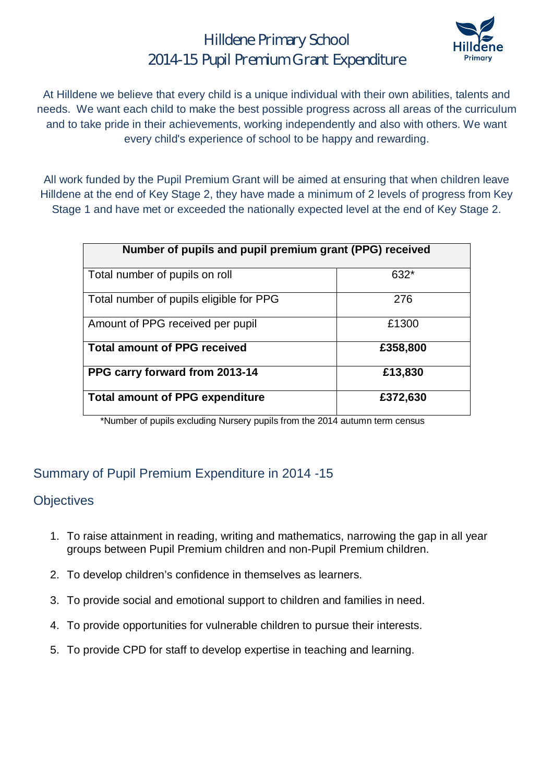### Hilldene Primary School 2014-15 Pupil Premium Grant Expenditure



At Hilldene we believe that every child is a unique individual with their own abilities, talents and needs. We want each child to make the best possible progress across all areas of the curriculum and to take pride in their achievements, working independently and also with others. We want every child's experience of school to be happy and rewarding.

All work funded by the Pupil Premium Grant will be aimed at ensuring that when children leave Hilldene at the end of Key Stage 2, they have made a minimum of 2 levels of progress from Key Stage 1 and have met or exceeded the nationally expected level at the end of Key Stage 2.

| Number of pupils and pupil premium grant (PPG) received |          |  |  |  |  |
|---------------------------------------------------------|----------|--|--|--|--|
| Total number of pupils on roll                          | 632*     |  |  |  |  |
| Total number of pupils eligible for PPG                 | 276      |  |  |  |  |
| Amount of PPG received per pupil                        | £1300    |  |  |  |  |
| <b>Total amount of PPG received</b>                     | £358,800 |  |  |  |  |
| PPG carry forward from 2013-14                          | £13,830  |  |  |  |  |
| <b>Total amount of PPG expenditure</b>                  | £372,630 |  |  |  |  |

\*Number of pupils excluding Nursery pupils from the 2014 autumn term census

### Summary of Pupil Premium Expenditure in 2014 -15

#### **Objectives**

- 1. To raise attainment in reading, writing and mathematics, narrowing the gap in all year groups between Pupil Premium children and non-Pupil Premium children.
- 2. To develop children's confidence in themselves as learners.
- 3. To provide social and emotional support to children and families in need.
- 4. To provide opportunities for vulnerable children to pursue their interests.
- 5. To provide CPD for staff to develop expertise in teaching and learning.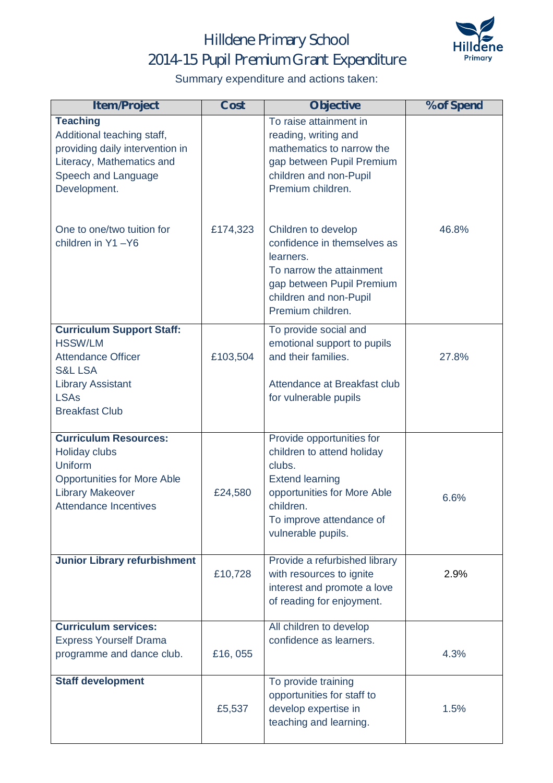# Hilldene Primary School 2014-15 Pupil Premium Grant Expenditure



Summary expenditure and actions taken:

| <b>Item/Project</b>                                                                                                                                                                | Cost     | <b>Objective</b>                                                                                                                                                                          | % of Spend |
|------------------------------------------------------------------------------------------------------------------------------------------------------------------------------------|----------|-------------------------------------------------------------------------------------------------------------------------------------------------------------------------------------------|------------|
| <b>Teaching</b><br>Additional teaching staff,<br>providing daily intervention in<br>Literacy, Mathematics and<br>Speech and Language<br>Development.<br>One to one/two tuition for | £174,323 | To raise attainment in<br>reading, writing and<br>mathematics to narrow the<br>gap between Pupil Premium<br>children and non-Pupil<br>Premium children.<br>Children to develop            | 46.8%      |
| children in Y1-Y6                                                                                                                                                                  |          | confidence in themselves as<br>learners.<br>To narrow the attainment<br>gap between Pupil Premium<br>children and non-Pupil<br>Premium children.                                          |            |
| <b>Curriculum Support Staff:</b><br><b>HSSW/LM</b><br><b>Attendance Officer</b><br><b>S&amp;L LSA</b>                                                                              | £103,504 | To provide social and<br>emotional support to pupils<br>and their families.                                                                                                               | 27.8%      |
| <b>Library Assistant</b><br><b>LSAs</b><br><b>Breakfast Club</b>                                                                                                                   |          | Attendance at Breakfast club<br>for vulnerable pupils                                                                                                                                     |            |
| <b>Curriculum Resources:</b><br><b>Holiday clubs</b><br>Uniform<br><b>Opportunities for More Able</b><br><b>Library Makeover</b><br><b>Attendance Incentives</b>                   | £24,580  | Provide opportunities for<br>children to attend holiday<br>clubs.<br><b>Extend learning</b><br>opportunities for More Able<br>children.<br>To improve attendance of<br>vulnerable pupils. | 6.6%       |
| <b>Junior Library refurbishment</b>                                                                                                                                                | £10,728  | Provide a refurbished library<br>with resources to ignite<br>interest and promote a love<br>of reading for enjoyment.                                                                     | 2.9%       |
| <b>Curriculum services:</b><br><b>Express Yourself Drama</b><br>programme and dance club.                                                                                          | £16,055  | All children to develop<br>confidence as learners.                                                                                                                                        | 4.3%       |
| <b>Staff development</b>                                                                                                                                                           | £5,537   | To provide training<br>opportunities for staff to<br>develop expertise in<br>teaching and learning.                                                                                       | 1.5%       |